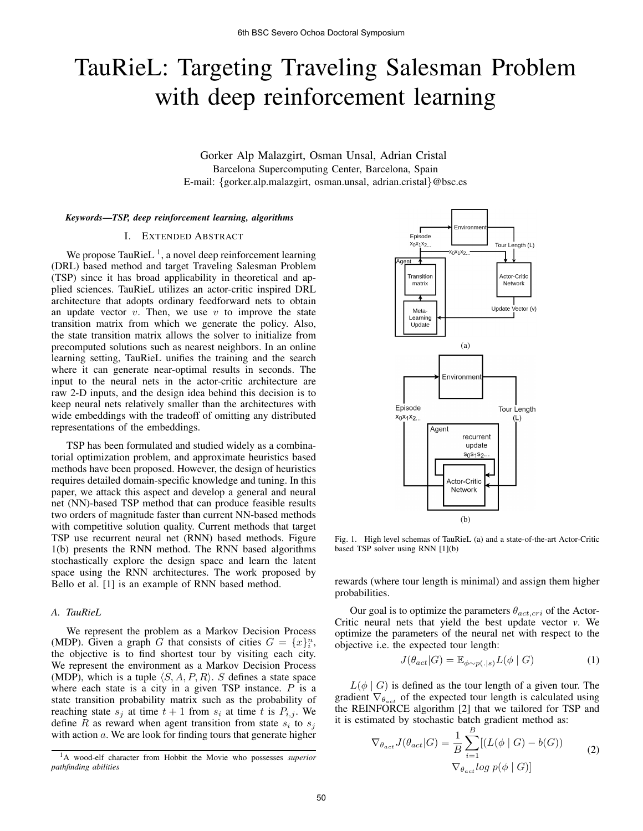# TauRieL: Targeting Traveling Salesman Problem with deep reinforcement learning

Gorker Alp Malazgirt, Osman Unsal, Adrian Cristal Barcelona Supercomputing Center, Barcelona, Spain E-mail: {gorker.alp.malazgirt, osman.unsal, adrian.cristal}@bsc.es

#### *Keywords*—*TSP, deep reinforcement learning, algorithms*

### I. EXTENDED ABSTRACT

We propose TauRieL<sup>1</sup>, a novel deep reinforcement learning (DRL) based method and target Traveling Salesman Problem (TSP) since it has broad applicability in theoretical and applied sciences. TauRieL utilizes an actor-critic inspired DRL architecture that adopts ordinary feedforward nets to obtain an update vector  $v$ . Then, we use  $v$  to improve the state transition matrix from which we generate the policy. Also, the state transition matrix allows the solver to initialize from precomputed solutions such as nearest neighbors. In an online learning setting, TauRieL unifies the training and the search where it can generate near-optimal results in seconds. The input to the neural nets in the actor-critic architecture are raw 2-D inputs, and the design idea behind this decision is to keep neural nets relatively smaller than the architectures with wide embeddings with the tradeoff of omitting any distributed representations of the embeddings.

TSP has been formulated and studied widely as a combinatorial optimization problem, and approximate heuristics based methods have been proposed. However, the design of heuristics requires detailed domain-specific knowledge and tuning. In this paper, we attack this aspect and develop a general and neural net (NN)-based TSP method that can produce feasible results two orders of magnitude faster than current NN-based methods with competitive solution quality. Current methods that target TSP use recurrent neural net (RNN) based methods. Figure 1(b) presents the RNN method. The RNN based algorithms stochastically explore the design space and learn the latent space using the RNN architectures. The work proposed by Bello et al. [1] is an example of RNN based method.

## *A. TauRieL*

We represent the problem as a Markov Decision Process (MDP). Given a graph G that consists of cities  $G = \{x\}_{i}^{n}$ , the objective is to find shortest tour by visiting each city. We represent the environment as a Markov Decision Process (MDP), which is a tuple  $\langle S, A, P, R \rangle$ . S defines a state space where each state is a city in a given TSP instance.  $P$  is a state transition probability matrix such as the probability of reaching state  $s_i$  at time  $t + 1$  from  $s_i$  at time t is  $P_{i,j}$ . We define R as reward when agent transition from state  $s_i$  to  $s_j$ with action  $a$ . We are look for finding tours that generate higher



Fig. 1. High level schemas of TauRieL (a) and a state-of-the-art Actor-Critic based TSP solver using RNN [1](b)

rewards (where tour length is minimal) and assign them higher probabilities.

Our goal is to optimize the parameters  $\theta_{act,cri}$  of the Actor-Critic neural nets that yield the best update vector *v*. We optimize the parameters of the neural net with respect to the objective i.e. the expected tour length:

$$
J(\theta_{act}|G) = \mathbb{E}_{\phi \sim p(.|s)} L(\phi | G)
$$
 (1)

 $L(\phi \mid G)$  is defined as the tour length of a given tour. The gradient  $\nabla_{\theta_{act}}$  of the expected tour length is calculated using the REINFORCE algorithm [2] that we tailored for TSP and it is estimated by stochastic batch gradient method as:

$$
\nabla_{\theta_{act}} J(\theta_{act}|G) = \frac{1}{B} \sum_{i=1}^{B} [(L(\phi \mid G) - b(G))
$$
  

$$
\nabla_{\theta_{act}} log p(\phi \mid G)]
$$
 (2)

<sup>1</sup>A wood-elf character from Hobbit the Movie who possesses *superior pathfinding abilities*